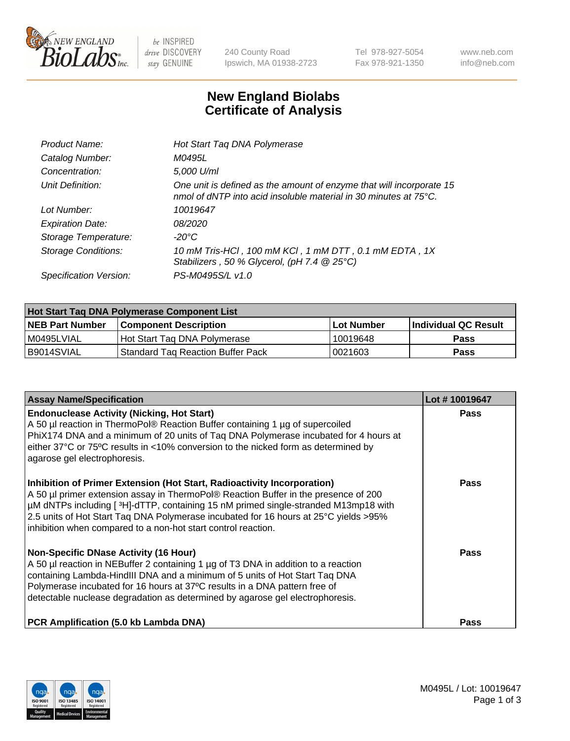

 $be$  INSPIRED drive DISCOVERY stay GENUINE

240 County Road Ipswich, MA 01938-2723 Tel 978-927-5054 Fax 978-921-1350 www.neb.com info@neb.com

## **New England Biolabs Certificate of Analysis**

| Product Name:              | Hot Start Taq DNA Polymerase                                                                                                                       |
|----------------------------|----------------------------------------------------------------------------------------------------------------------------------------------------|
| Catalog Number:            | M0495L                                                                                                                                             |
| Concentration:             | 5,000 U/ml                                                                                                                                         |
| Unit Definition:           | One unit is defined as the amount of enzyme that will incorporate 15<br>nmol of dNTP into acid insoluble material in 30 minutes at $75^{\circ}$ C. |
| Lot Number:                | 10019647                                                                                                                                           |
| <b>Expiration Date:</b>    | 08/2020                                                                                                                                            |
| Storage Temperature:       | -20°C                                                                                                                                              |
| <b>Storage Conditions:</b> | 10 mM Tris-HCl, 100 mM KCl, 1 mM DTT, 0.1 mM EDTA, 1X<br>Stabilizers, 50 % Glycerol, (pH 7.4 @ 25°C)                                               |
| Specification Version:     | PS-M0495S/L v1.0                                                                                                                                   |

| Hot Start Taq DNA Polymerase Component List |                                    |            |                      |  |  |
|---------------------------------------------|------------------------------------|------------|----------------------|--|--|
| <b>NEB Part Number</b>                      | <b>Component Description</b>       | Lot Number | Individual QC Result |  |  |
| M0495LVIAL                                  | Hot Start Tag DNA Polymerase       | 10019648   | <b>Pass</b>          |  |  |
| I B9014SVIAL                                | 'Standard Tag Reaction Buffer Pack | 0021603    | Pass                 |  |  |

| <b>Assay Name/Specification</b>                                                                                                                                                                                                                                                                                                                                                                               | Lot #10019647 |
|---------------------------------------------------------------------------------------------------------------------------------------------------------------------------------------------------------------------------------------------------------------------------------------------------------------------------------------------------------------------------------------------------------------|---------------|
| <b>Endonuclease Activity (Nicking, Hot Start)</b><br>A 50 µl reaction in ThermoPol® Reaction Buffer containing 1 µg of supercoiled<br>PhiX174 DNA and a minimum of 20 units of Taq DNA Polymerase incubated for 4 hours at<br>either 37°C or 75°C results in <10% conversion to the nicked form as determined by<br>agarose gel electrophoresis.                                                              | <b>Pass</b>   |
| Inhibition of Primer Extension (Hot Start, Radioactivity Incorporation)<br>A 50 µl primer extension assay in ThermoPol® Reaction Buffer in the presence of 200<br>µM dNTPs including [3H]-dTTP, containing 15 nM primed single-stranded M13mp18 with<br>2.5 units of Hot Start Taq DNA Polymerase incubated for 16 hours at 25°C yields >95%<br>inhibition when compared to a non-hot start control reaction. | Pass          |
| <b>Non-Specific DNase Activity (16 Hour)</b><br>A 50 µl reaction in NEBuffer 2 containing 1 µg of T3 DNA in addition to a reaction<br>containing Lambda-HindIII DNA and a minimum of 5 units of Hot Start Taq DNA<br>Polymerase incubated for 16 hours at 37°C results in a DNA pattern free of<br>detectable nuclease degradation as determined by agarose gel electrophoresis.                              | Pass          |
| PCR Amplification (5.0 kb Lambda DNA)                                                                                                                                                                                                                                                                                                                                                                         | Pass          |

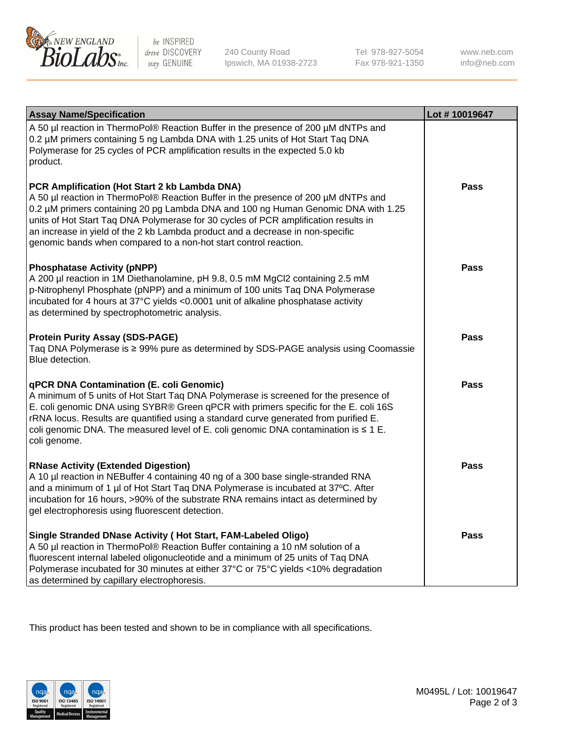

 $be$  INSPIRED drive DISCOVERY stay GENUINE

240 County Road Ipswich, MA 01938-2723 Tel 978-927-5054 Fax 978-921-1350 www.neb.com info@neb.com

| <b>Assay Name/Specification</b>                                                                                                                                                                                                                                                                                                                                                                                                                                       | Lot #10019647 |
|-----------------------------------------------------------------------------------------------------------------------------------------------------------------------------------------------------------------------------------------------------------------------------------------------------------------------------------------------------------------------------------------------------------------------------------------------------------------------|---------------|
| A 50 µl reaction in ThermoPol® Reaction Buffer in the presence of 200 µM dNTPs and<br>0.2 µM primers containing 5 ng Lambda DNA with 1.25 units of Hot Start Taq DNA<br>Polymerase for 25 cycles of PCR amplification results in the expected 5.0 kb<br>product.                                                                                                                                                                                                      |               |
| PCR Amplification (Hot Start 2 kb Lambda DNA)<br>A 50 µl reaction in ThermoPol® Reaction Buffer in the presence of 200 µM dNTPs and<br>0.2 µM primers containing 20 pg Lambda DNA and 100 ng Human Genomic DNA with 1.25<br>units of Hot Start Taq DNA Polymerase for 30 cycles of PCR amplification results in<br>an increase in yield of the 2 kb Lambda product and a decrease in non-specific<br>genomic bands when compared to a non-hot start control reaction. | Pass          |
| <b>Phosphatase Activity (pNPP)</b><br>A 200 µl reaction in 1M Diethanolamine, pH 9.8, 0.5 mM MgCl2 containing 2.5 mM<br>p-Nitrophenyl Phosphate (pNPP) and a minimum of 100 units Taq DNA Polymerase<br>incubated for 4 hours at 37°C yields <0.0001 unit of alkaline phosphatase activity<br>as determined by spectrophotometric analysis.                                                                                                                           | Pass          |
| <b>Protein Purity Assay (SDS-PAGE)</b><br>Taq DNA Polymerase is ≥ 99% pure as determined by SDS-PAGE analysis using Coomassie<br>Blue detection.                                                                                                                                                                                                                                                                                                                      | <b>Pass</b>   |
| <b>qPCR DNA Contamination (E. coli Genomic)</b><br>A minimum of 5 units of Hot Start Taq DNA Polymerase is screened for the presence of<br>E. coli genomic DNA using SYBR® Green qPCR with primers specific for the E. coli 16S<br>rRNA locus. Results are quantified using a standard curve generated from purified E.<br>coli genomic DNA. The measured level of E. coli genomic DNA contamination is $\leq 1$ E.<br>coli genome.                                   | Pass          |
| <b>RNase Activity (Extended Digestion)</b><br>A 10 µl reaction in NEBuffer 4 containing 40 ng of a 300 base single-stranded RNA<br>and a minimum of 1 µl of Hot Start Taq DNA Polymerase is incubated at 37°C. After<br>incubation for 16 hours, >90% of the substrate RNA remains intact as determined by<br>gel electrophoresis using fluorescent detection.                                                                                                        | <b>Pass</b>   |
| Single Stranded DNase Activity (Hot Start, FAM-Labeled Oligo)<br>A 50 µl reaction in ThermoPol® Reaction Buffer containing a 10 nM solution of a<br>fluorescent internal labeled oligonucleotide and a minimum of 25 units of Taq DNA<br>Polymerase incubated for 30 minutes at either 37°C or 75°C yields <10% degradation<br>as determined by capillary electrophoresis.                                                                                            | <b>Pass</b>   |

This product has been tested and shown to be in compliance with all specifications.